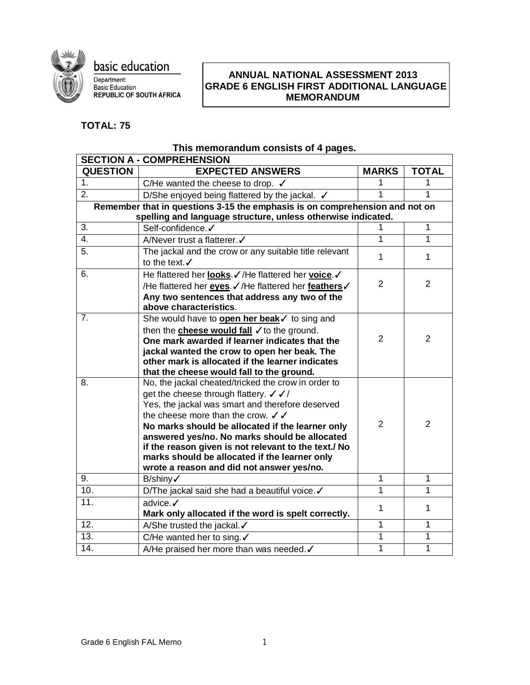

basic education Department:<br>Basic Education<br>REPUBLIC OF SOUTH AFRICA

#### I **ANNUAL NATIONAL ASSESSMENT 2013 GRADE 6 ENGLISH FIRST ADDITIONAL LANGUAGE MEMORANDUM**

# **TOTAL: 75**

# **This memorandum consists of 4 pages.**

| <b>SECTION A - COMPREHENSION</b> |                                                                                                  |                |                |  |  |  |
|----------------------------------|--------------------------------------------------------------------------------------------------|----------------|----------------|--|--|--|
| <b>QUESTION</b>                  | <b>EXPECTED ANSWERS</b>                                                                          | <b>MARKS</b>   | <b>TOTAL</b>   |  |  |  |
| 1.                               | C/He wanted the cheese to drop. $\checkmark$                                                     | 1              | 1              |  |  |  |
| $\overline{2}$ .                 | D/She enjoyed being flattered by the jackal. ✔                                                   | 1              | 1              |  |  |  |
|                                  | Remember that in questions 3-15 the emphasis is on comprehension and not on                      |                |                |  |  |  |
|                                  | spelling and language structure, unless otherwise indicated.                                     |                |                |  |  |  |
| $\overline{3}$ .                 | Self-confidence.√                                                                                |                | 1              |  |  |  |
| 4.                               | A/Never trust a flatterer. √                                                                     | 1              | $\overline{1}$ |  |  |  |
| 5.                               | The jackal and the crow or any suitable title relevant                                           | 1              | 1              |  |  |  |
|                                  | to the text.√                                                                                    |                |                |  |  |  |
| 6.                               | He flattered her looks / / He flattered her voice /                                              |                |                |  |  |  |
|                                  | /He flattered her <b>eyes</b> / /He flattered her feathers /                                     | $\overline{2}$ | $\overline{2}$ |  |  |  |
|                                  | Any two sentences that address any two of the                                                    |                |                |  |  |  |
|                                  | above characteristics.                                                                           |                |                |  |  |  |
| 7.                               | She would have to <b>open her beak</b> I to sing and                                             |                |                |  |  |  |
|                                  | then the <b>cheese would fall</b> $\checkmark$ to the ground.                                    |                |                |  |  |  |
|                                  | One mark awarded if learner indicates that the                                                   | 2              | $\overline{2}$ |  |  |  |
|                                  | jackal wanted the crow to open her beak. The                                                     |                |                |  |  |  |
|                                  | other mark is allocated if the learner indicates                                                 |                |                |  |  |  |
| 8.                               | that the cheese would fall to the ground.<br>No, the jackal cheated/tricked the crow in order to |                |                |  |  |  |
|                                  |                                                                                                  |                |                |  |  |  |
|                                  | get the cheese through flattery. √ √/<br>Yes, the jackal was smart and therefore deserved        |                |                |  |  |  |
|                                  | the cheese more than the crow. $\checkmark$                                                      |                |                |  |  |  |
|                                  | No marks should be allocated if the learner only                                                 | $\overline{2}$ | $\overline{2}$ |  |  |  |
|                                  | answered yes/no. No marks should be allocated                                                    |                |                |  |  |  |
|                                  | if the reason given is not relevant to the text./ No                                             |                |                |  |  |  |
|                                  | marks should be allocated if the learner only                                                    |                |                |  |  |  |
|                                  | wrote a reason and did not answer yes/no.                                                        |                |                |  |  |  |
| 9.                               | B/shiny√                                                                                         | 1              | 1              |  |  |  |
| 10.                              | D/The jackal said she had a beautiful voice. √                                                   | 1              | 1              |  |  |  |
| 11.                              | advice.√                                                                                         | 1              | 1              |  |  |  |
|                                  | Mark only allocated if the word is spelt correctly.                                              |                |                |  |  |  |
| 12.                              | A/She trusted the jackal.                                                                        | 1              | $\mathbf{1}$   |  |  |  |
| 13.                              | C/He wanted her to sing. $\checkmark$                                                            | $\overline{1}$ | $\overline{1}$ |  |  |  |
| $\overline{14}$ .                | A/He praised her more than was needed. √                                                         | 1              | $\overline{1}$ |  |  |  |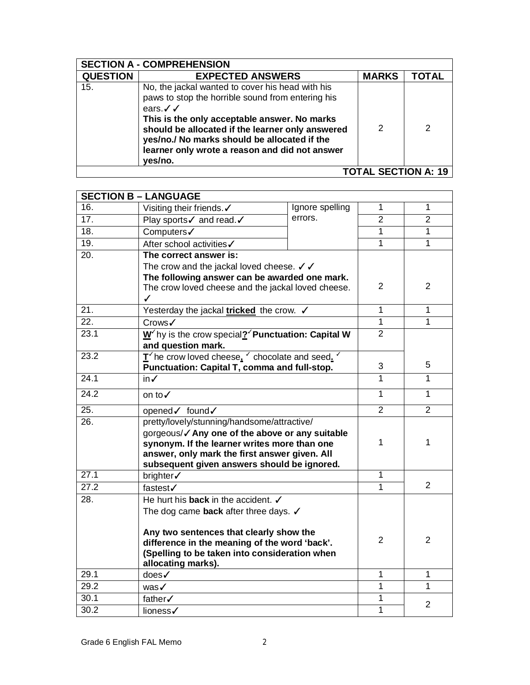| <b>SECTION A - COMPREHENSION</b> |                                                                                                                                                                                                                                                                                                                                              |              |       |  |
|----------------------------------|----------------------------------------------------------------------------------------------------------------------------------------------------------------------------------------------------------------------------------------------------------------------------------------------------------------------------------------------|--------------|-------|--|
| <b>QUESTION</b>                  | <b>EXPECTED ANSWERS</b>                                                                                                                                                                                                                                                                                                                      | <b>MARKS</b> | TOTAL |  |
| 15.                              | No, the jackal wanted to cover his head with his<br>paws to stop the horrible sound from entering his<br>ears. $\checkmark$<br>This is the only acceptable answer. No marks<br>should be allocated if the learner only answered<br>yes/no./ No marks should be allocated if the<br>learner only wrote a reason and did not answer<br>yes/no. | 2            | 2     |  |
| <b>TOTAL SECTION A: 19</b>       |                                                                                                                                                                                                                                                                                                                                              |              |       |  |

| 16.<br>$\mathbf{1}$<br>1<br>Ignore spelling<br>Visiting their friends.√<br>errors.<br>$\overline{17}$ .<br>$\overline{2}$<br>$\overline{2}$<br>Play sports√ and read.√<br>$\overline{18}$ .<br>$\overline{1}$<br>$\mathbf{1}$<br>Computers /<br>$\overline{1}$<br>$\overline{1}$<br>19.<br>After school activities√<br>20.<br>The correct answer is:<br>The crow and the jackal loved cheese. $\checkmark$<br>The following answer can be awarded one mark.<br>$\overline{2}$<br>$\overline{2}$<br>The crow loved cheese and the jackal loved cheese.<br>$\checkmark$<br>$\overline{1}$<br>$\overline{21}$<br>$\overline{1}$<br>Yesterday the jackal <b>tricked</b> the crow. V<br>$\overline{22}$ .<br>$\overline{1}$<br>$\overline{1}$<br>Crows√<br>23.1<br>$\overline{2}$<br>$\underline{W}^{\prime}$ hy is the crow special? Punctuation: Capital W<br>and question mark.<br>$\underline{\mathbf{T}}^{\prime}$ he crow loved cheese, $^{\prime}$ chocolate and seed.<br>23.2<br>5.<br>3<br>Punctuation: Capital T, comma and full-stop.<br>24.1<br>1<br>1<br>in√<br>24.2<br>1<br>$\mathbf{1}$<br>on to√<br>$\overline{2}$<br>25.<br>$\overline{2}$<br>opened√ found√<br>$\overline{26}$ .<br>pretty/lovely/stunning/handsome/attractive/<br>gorgeous/√ Any one of the above or any suitable<br>$\mathbf{1}$<br>1<br>synonym. If the learner writes more than one<br>answer, only mark the first answer given. All<br>subsequent given answers should be ignored.<br>27.1<br>1<br>brighter√<br>$\overline{2}$<br>27.2<br>$\overline{1}$<br>fastest√<br>28.<br>He hurt his <b>back</b> in the accident. $\checkmark$<br>The dog came back after three days. $\checkmark$<br>Any two sentences that clearly show the<br>$\overline{2}$<br>$\overline{2}$<br>difference in the meaning of the word 'back'.<br>(Spelling to be taken into consideration when<br>allocating marks).<br>$\overline{1}$<br>$\overline{1}$<br>29.1<br>does√<br>$\overline{1}$<br>29.2<br>$\mathbf{1}$<br>was√<br>1<br>30.1<br>father√<br>$\overline{2}$ |                  | <b>SECTION B - LANGUAGE</b> |  |   |  |
|------------------------------------------------------------------------------------------------------------------------------------------------------------------------------------------------------------------------------------------------------------------------------------------------------------------------------------------------------------------------------------------------------------------------------------------------------------------------------------------------------------------------------------------------------------------------------------------------------------------------------------------------------------------------------------------------------------------------------------------------------------------------------------------------------------------------------------------------------------------------------------------------------------------------------------------------------------------------------------------------------------------------------------------------------------------------------------------------------------------------------------------------------------------------------------------------------------------------------------------------------------------------------------------------------------------------------------------------------------------------------------------------------------------------------------------------------------------------------------------------------------------------------------------------------------------------------------------------------------------------------------------------------------------------------------------------------------------------------------------------------------------------------------------------------------------------------------------------------------------------------------------------------------------------------------------------------------------------------------------------------------------------------------|------------------|-----------------------------|--|---|--|
|                                                                                                                                                                                                                                                                                                                                                                                                                                                                                                                                                                                                                                                                                                                                                                                                                                                                                                                                                                                                                                                                                                                                                                                                                                                                                                                                                                                                                                                                                                                                                                                                                                                                                                                                                                                                                                                                                                                                                                                                                                    |                  |                             |  |   |  |
|                                                                                                                                                                                                                                                                                                                                                                                                                                                                                                                                                                                                                                                                                                                                                                                                                                                                                                                                                                                                                                                                                                                                                                                                                                                                                                                                                                                                                                                                                                                                                                                                                                                                                                                                                                                                                                                                                                                                                                                                                                    |                  |                             |  |   |  |
|                                                                                                                                                                                                                                                                                                                                                                                                                                                                                                                                                                                                                                                                                                                                                                                                                                                                                                                                                                                                                                                                                                                                                                                                                                                                                                                                                                                                                                                                                                                                                                                                                                                                                                                                                                                                                                                                                                                                                                                                                                    |                  |                             |  |   |  |
|                                                                                                                                                                                                                                                                                                                                                                                                                                                                                                                                                                                                                                                                                                                                                                                                                                                                                                                                                                                                                                                                                                                                                                                                                                                                                                                                                                                                                                                                                                                                                                                                                                                                                                                                                                                                                                                                                                                                                                                                                                    |                  |                             |  |   |  |
|                                                                                                                                                                                                                                                                                                                                                                                                                                                                                                                                                                                                                                                                                                                                                                                                                                                                                                                                                                                                                                                                                                                                                                                                                                                                                                                                                                                                                                                                                                                                                                                                                                                                                                                                                                                                                                                                                                                                                                                                                                    |                  |                             |  |   |  |
|                                                                                                                                                                                                                                                                                                                                                                                                                                                                                                                                                                                                                                                                                                                                                                                                                                                                                                                                                                                                                                                                                                                                                                                                                                                                                                                                                                                                                                                                                                                                                                                                                                                                                                                                                                                                                                                                                                                                                                                                                                    |                  |                             |  |   |  |
|                                                                                                                                                                                                                                                                                                                                                                                                                                                                                                                                                                                                                                                                                                                                                                                                                                                                                                                                                                                                                                                                                                                                                                                                                                                                                                                                                                                                                                                                                                                                                                                                                                                                                                                                                                                                                                                                                                                                                                                                                                    |                  |                             |  |   |  |
|                                                                                                                                                                                                                                                                                                                                                                                                                                                                                                                                                                                                                                                                                                                                                                                                                                                                                                                                                                                                                                                                                                                                                                                                                                                                                                                                                                                                                                                                                                                                                                                                                                                                                                                                                                                                                                                                                                                                                                                                                                    |                  |                             |  |   |  |
|                                                                                                                                                                                                                                                                                                                                                                                                                                                                                                                                                                                                                                                                                                                                                                                                                                                                                                                                                                                                                                                                                                                                                                                                                                                                                                                                                                                                                                                                                                                                                                                                                                                                                                                                                                                                                                                                                                                                                                                                                                    |                  |                             |  |   |  |
|                                                                                                                                                                                                                                                                                                                                                                                                                                                                                                                                                                                                                                                                                                                                                                                                                                                                                                                                                                                                                                                                                                                                                                                                                                                                                                                                                                                                                                                                                                                                                                                                                                                                                                                                                                                                                                                                                                                                                                                                                                    |                  |                             |  |   |  |
|                                                                                                                                                                                                                                                                                                                                                                                                                                                                                                                                                                                                                                                                                                                                                                                                                                                                                                                                                                                                                                                                                                                                                                                                                                                                                                                                                                                                                                                                                                                                                                                                                                                                                                                                                                                                                                                                                                                                                                                                                                    |                  |                             |  |   |  |
|                                                                                                                                                                                                                                                                                                                                                                                                                                                                                                                                                                                                                                                                                                                                                                                                                                                                                                                                                                                                                                                                                                                                                                                                                                                                                                                                                                                                                                                                                                                                                                                                                                                                                                                                                                                                                                                                                                                                                                                                                                    |                  |                             |  |   |  |
|                                                                                                                                                                                                                                                                                                                                                                                                                                                                                                                                                                                                                                                                                                                                                                                                                                                                                                                                                                                                                                                                                                                                                                                                                                                                                                                                                                                                                                                                                                                                                                                                                                                                                                                                                                                                                                                                                                                                                                                                                                    |                  |                             |  |   |  |
|                                                                                                                                                                                                                                                                                                                                                                                                                                                                                                                                                                                                                                                                                                                                                                                                                                                                                                                                                                                                                                                                                                                                                                                                                                                                                                                                                                                                                                                                                                                                                                                                                                                                                                                                                                                                                                                                                                                                                                                                                                    |                  |                             |  |   |  |
|                                                                                                                                                                                                                                                                                                                                                                                                                                                                                                                                                                                                                                                                                                                                                                                                                                                                                                                                                                                                                                                                                                                                                                                                                                                                                                                                                                                                                                                                                                                                                                                                                                                                                                                                                                                                                                                                                                                                                                                                                                    |                  |                             |  |   |  |
|                                                                                                                                                                                                                                                                                                                                                                                                                                                                                                                                                                                                                                                                                                                                                                                                                                                                                                                                                                                                                                                                                                                                                                                                                                                                                                                                                                                                                                                                                                                                                                                                                                                                                                                                                                                                                                                                                                                                                                                                                                    |                  |                             |  |   |  |
|                                                                                                                                                                                                                                                                                                                                                                                                                                                                                                                                                                                                                                                                                                                                                                                                                                                                                                                                                                                                                                                                                                                                                                                                                                                                                                                                                                                                                                                                                                                                                                                                                                                                                                                                                                                                                                                                                                                                                                                                                                    |                  |                             |  |   |  |
|                                                                                                                                                                                                                                                                                                                                                                                                                                                                                                                                                                                                                                                                                                                                                                                                                                                                                                                                                                                                                                                                                                                                                                                                                                                                                                                                                                                                                                                                                                                                                                                                                                                                                                                                                                                                                                                                                                                                                                                                                                    |                  |                             |  |   |  |
|                                                                                                                                                                                                                                                                                                                                                                                                                                                                                                                                                                                                                                                                                                                                                                                                                                                                                                                                                                                                                                                                                                                                                                                                                                                                                                                                                                                                                                                                                                                                                                                                                                                                                                                                                                                                                                                                                                                                                                                                                                    |                  |                             |  |   |  |
|                                                                                                                                                                                                                                                                                                                                                                                                                                                                                                                                                                                                                                                                                                                                                                                                                                                                                                                                                                                                                                                                                                                                                                                                                                                                                                                                                                                                                                                                                                                                                                                                                                                                                                                                                                                                                                                                                                                                                                                                                                    |                  |                             |  |   |  |
|                                                                                                                                                                                                                                                                                                                                                                                                                                                                                                                                                                                                                                                                                                                                                                                                                                                                                                                                                                                                                                                                                                                                                                                                                                                                                                                                                                                                                                                                                                                                                                                                                                                                                                                                                                                                                                                                                                                                                                                                                                    |                  |                             |  |   |  |
|                                                                                                                                                                                                                                                                                                                                                                                                                                                                                                                                                                                                                                                                                                                                                                                                                                                                                                                                                                                                                                                                                                                                                                                                                                                                                                                                                                                                                                                                                                                                                                                                                                                                                                                                                                                                                                                                                                                                                                                                                                    |                  |                             |  |   |  |
|                                                                                                                                                                                                                                                                                                                                                                                                                                                                                                                                                                                                                                                                                                                                                                                                                                                                                                                                                                                                                                                                                                                                                                                                                                                                                                                                                                                                                                                                                                                                                                                                                                                                                                                                                                                                                                                                                                                                                                                                                                    |                  |                             |  |   |  |
|                                                                                                                                                                                                                                                                                                                                                                                                                                                                                                                                                                                                                                                                                                                                                                                                                                                                                                                                                                                                                                                                                                                                                                                                                                                                                                                                                                                                                                                                                                                                                                                                                                                                                                                                                                                                                                                                                                                                                                                                                                    |                  |                             |  |   |  |
|                                                                                                                                                                                                                                                                                                                                                                                                                                                                                                                                                                                                                                                                                                                                                                                                                                                                                                                                                                                                                                                                                                                                                                                                                                                                                                                                                                                                                                                                                                                                                                                                                                                                                                                                                                                                                                                                                                                                                                                                                                    |                  |                             |  |   |  |
|                                                                                                                                                                                                                                                                                                                                                                                                                                                                                                                                                                                                                                                                                                                                                                                                                                                                                                                                                                                                                                                                                                                                                                                                                                                                                                                                                                                                                                                                                                                                                                                                                                                                                                                                                                                                                                                                                                                                                                                                                                    |                  |                             |  |   |  |
|                                                                                                                                                                                                                                                                                                                                                                                                                                                                                                                                                                                                                                                                                                                                                                                                                                                                                                                                                                                                                                                                                                                                                                                                                                                                                                                                                                                                                                                                                                                                                                                                                                                                                                                                                                                                                                                                                                                                                                                                                                    |                  |                             |  |   |  |
|                                                                                                                                                                                                                                                                                                                                                                                                                                                                                                                                                                                                                                                                                                                                                                                                                                                                                                                                                                                                                                                                                                                                                                                                                                                                                                                                                                                                                                                                                                                                                                                                                                                                                                                                                                                                                                                                                                                                                                                                                                    |                  |                             |  |   |  |
|                                                                                                                                                                                                                                                                                                                                                                                                                                                                                                                                                                                                                                                                                                                                                                                                                                                                                                                                                                                                                                                                                                                                                                                                                                                                                                                                                                                                                                                                                                                                                                                                                                                                                                                                                                                                                                                                                                                                                                                                                                    |                  |                             |  |   |  |
|                                                                                                                                                                                                                                                                                                                                                                                                                                                                                                                                                                                                                                                                                                                                                                                                                                                                                                                                                                                                                                                                                                                                                                                                                                                                                                                                                                                                                                                                                                                                                                                                                                                                                                                                                                                                                                                                                                                                                                                                                                    |                  |                             |  |   |  |
|                                                                                                                                                                                                                                                                                                                                                                                                                                                                                                                                                                                                                                                                                                                                                                                                                                                                                                                                                                                                                                                                                                                                                                                                                                                                                                                                                                                                                                                                                                                                                                                                                                                                                                                                                                                                                                                                                                                                                                                                                                    |                  |                             |  |   |  |
|                                                                                                                                                                                                                                                                                                                                                                                                                                                                                                                                                                                                                                                                                                                                                                                                                                                                                                                                                                                                                                                                                                                                                                                                                                                                                                                                                                                                                                                                                                                                                                                                                                                                                                                                                                                                                                                                                                                                                                                                                                    |                  |                             |  |   |  |
|                                                                                                                                                                                                                                                                                                                                                                                                                                                                                                                                                                                                                                                                                                                                                                                                                                                                                                                                                                                                                                                                                                                                                                                                                                                                                                                                                                                                                                                                                                                                                                                                                                                                                                                                                                                                                                                                                                                                                                                                                                    |                  |                             |  |   |  |
|                                                                                                                                                                                                                                                                                                                                                                                                                                                                                                                                                                                                                                                                                                                                                                                                                                                                                                                                                                                                                                                                                                                                                                                                                                                                                                                                                                                                                                                                                                                                                                                                                                                                                                                                                                                                                                                                                                                                                                                                                                    | $30\overline{2}$ | lioness√                    |  | 1 |  |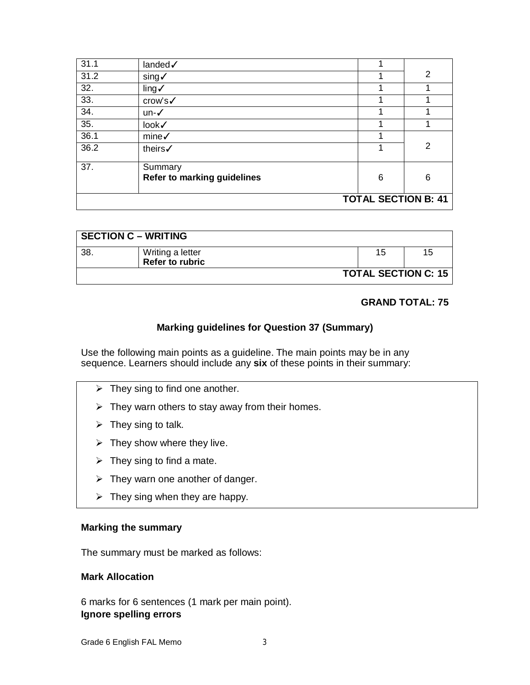| 31.1 | landed /                                      |  |   |                |
|------|-----------------------------------------------|--|---|----------------|
| 31.2 | sing√                                         |  |   | $\overline{2}$ |
| 32.  | ling <sub>1</sub>                             |  |   |                |
| 33.  | crow's√                                       |  |   |                |
| 34.  | un-√                                          |  |   |                |
| 35.  | look√                                         |  |   |                |
| 36.1 | mine <sub>v</sub>                             |  |   |                |
| 36.2 | theirs√                                       |  |   | 2              |
| 37.  | Summary<br><b>Refer to marking guidelines</b> |  | 6 | 6              |
|      | <b>TOTAL SECTION B: 41</b>                    |  |   |                |

| <b>SECTION C - WRITING</b> |                            |  |    |    |  |
|----------------------------|----------------------------|--|----|----|--|
| -38                        | Writing a letter           |  | 15 | 15 |  |
|                            | Refer to rubric            |  |    |    |  |
|                            | <b>TOTAL SECTION C: 15</b> |  |    |    |  |

#### **GRAND TOTAL: 75**

### **Marking guidelines for Question 37 (Summary)**

Use the following main points as a guideline. The main points may be in any sequence. Learners should include any **six** of these points in their summary:

- $\triangleright$  They sing to find one another.
- $\triangleright$  They warn others to stay away from their homes.
- $\triangleright$  They sing to talk.
- $\triangleright$  They show where they live.
- $\triangleright$  They sing to find a mate.
- $\triangleright$  They warn one another of danger.
- $\triangleright$  They sing when they are happy.

#### **Marking the summary**

The summary must be marked as follows:

#### **Mark Allocation**

6 marks for 6 sentences (1 mark per main point). **Ignore spelling errors**

Grade 6 English FAL Memo
3